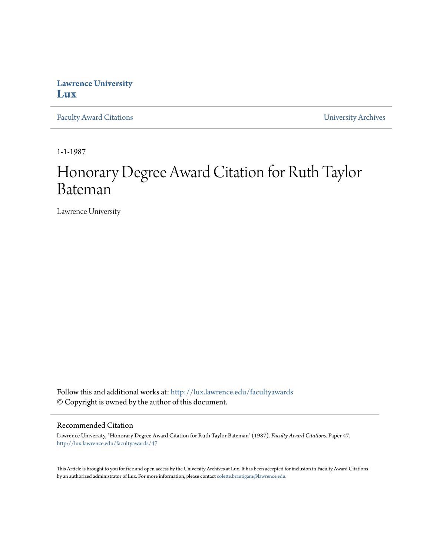## **Lawrence University [Lux](http://lux.lawrence.edu?utm_source=lux.lawrence.edu%2Ffacultyawards%2F47&utm_medium=PDF&utm_campaign=PDFCoverPages)**

[Faculty Award Citations](http://lux.lawrence.edu/facultyawards?utm_source=lux.lawrence.edu%2Ffacultyawards%2F47&utm_medium=PDF&utm_campaign=PDFCoverPages) **Example 2018** [University Archives](http://lux.lawrence.edu/archives?utm_source=lux.lawrence.edu%2Ffacultyawards%2F47&utm_medium=PDF&utm_campaign=PDFCoverPages)

1-1-1987

# Honorary Degree Award Citation for Ruth Taylor Bateman

Lawrence University

Follow this and additional works at: [http://lux.lawrence.edu/facultyawards](http://lux.lawrence.edu/facultyawards?utm_source=lux.lawrence.edu%2Ffacultyawards%2F47&utm_medium=PDF&utm_campaign=PDFCoverPages) © Copyright is owned by the author of this document.

#### Recommended Citation

Lawrence University, "Honorary Degree Award Citation for Ruth Taylor Bateman" (1987). *Faculty Award Citations.* Paper 47. [http://lux.lawrence.edu/facultyawards/47](http://lux.lawrence.edu/facultyawards/47?utm_source=lux.lawrence.edu%2Ffacultyawards%2F47&utm_medium=PDF&utm_campaign=PDFCoverPages)

This Article is brought to you for free and open access by the University Archives at Lux. It has been accepted for inclusion in Faculty Award Citations by an authorized administrator of Lux. For more information, please contact [colette.brautigam@lawrence.edu](mailto:colette.brautigam@lawrence.edu).